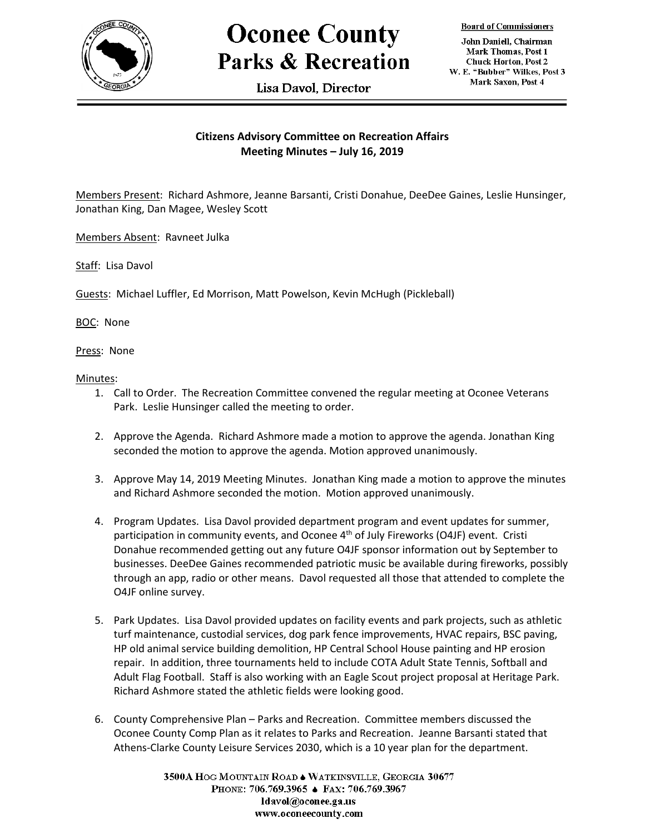

## **Oconee County Parks & Recreation**

Lisa Davol. Director

**Board of Commissioners** 

John Daniell, Chairman Mark Thomas, Post 1 **Chuck Horton, Post 2** W. E. "Bubber" Wilkes, Post 3 Mark Saxon, Post 4

## **Citizens Advisory Committee on Recreation Affairs Meeting Minutes – July 16, 2019**

Members Present: Richard Ashmore, Jeanne Barsanti, Cristi Donahue, DeeDee Gaines, Leslie Hunsinger, Jonathan King, Dan Magee, Wesley Scott

Members Absent: Ravneet Julka

Staff: Lisa Davol

Guests: Michael Luffler, Ed Morrison, Matt Powelson, Kevin McHugh (Pickleball)

BOC: None

Press: None

Minutes:

- 1. Call to Order. The Recreation Committee convened the regular meeting at Oconee Veterans Park. Leslie Hunsinger called the meeting to order.
- 2. Approve the Agenda. Richard Ashmore made a motion to approve the agenda. Jonathan King seconded the motion to approve the agenda. Motion approved unanimously.
- 3. Approve May 14, 2019 Meeting Minutes. Jonathan King made a motion to approve the minutes and Richard Ashmore seconded the motion. Motion approved unanimously.
- 4. Program Updates. Lisa Davol provided department program and event updates for summer, participation in community events, and Oconee 4<sup>th</sup> of July Fireworks (O4JF) event. Cristi Donahue recommended getting out any future O4JF sponsor information out by September to businesses. DeeDee Gaines recommended patriotic music be available during fireworks, possibly through an app, radio or other means. Davol requested all those that attended to complete the O4JF online survey.
- 5. Park Updates. Lisa Davol provided updates on facility events and park projects, such as athletic turf maintenance, custodial services, dog park fence improvements, HVAC repairs, BSC paving, HP old animal service building demolition, HP Central School House painting and HP erosion repair. In addition, three tournaments held to include COTA Adult State Tennis, Softball and Adult Flag Football. Staff is also working with an Eagle Scout project proposal at Heritage Park. Richard Ashmore stated the athletic fields were looking good.
- 6. County Comprehensive Plan Parks and Recreation. Committee members discussed the Oconee County Comp Plan as it relates to Parks and Recreation. Jeanne Barsanti stated that Athens-Clarke County Leisure Services 2030, which is a 10 year plan for the department.

3500A HOG MOUNTAIN ROAD . WATKINSVILLE, GEORGIA 30677 PHONE: 706.769.3965 ♦ FAX: 706.769.3967 ldavol@oconee.ga.us www.oconeecounty.com